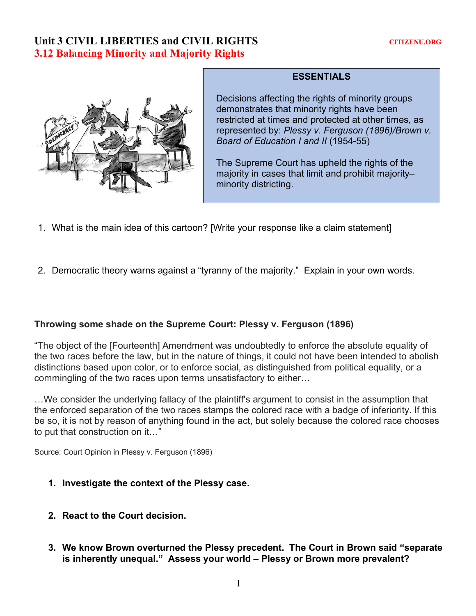## Unit 3 CIVIL LIBERTIES and CIVIL RIGHTS **CITIZENU.ORG 3.12 Balancing Minority and Majority Rights**



## **ESSENTIALS**

Decisions affecting the rights of minority groups demonstrates that minority rights have been restricted at times and protected at other times, as represented by: *Plessy v. Ferguson (1896)/Brown v. Board of Education I and II* (1954-55)

The Supreme Court has upheld the rights of the majority in cases that limit and prohibit majority– minority districting.

- 1. What is the main idea of this cartoon? [Write your response like a claim statement]
- 2. Democratic theory warns against a "tyranny of the majority." Explain in your own words.

## **Throwing some shade on the Supreme Court: Plessy v. Ferguson (1896)**

"The object of the [Fourteenth] Amendment was undoubtedly to enforce the absolute equality of the two races before the law, but in the nature of things, it could not have been intended to abolish distinctions based upon color, or to enforce social, as distinguished from political equality, or a commingling of the two races upon terms unsatisfactory to either…

…We consider the underlying fallacy of the plaintiff's argument to consist in the assumption that the enforced separation of the two races stamps the colored race with a badge of inferiority. If this be so, it is not by reason of anything found in the act, but solely because the colored race chooses to put that construction on it…"

Source: Court Opinion in Plessy v. Ferguson (1896)

- **1. Investigate the context of the Plessy case.**
- **2. React to the Court decision.**
- **3. We know Brown overturned the Plessy precedent. The Court in Brown said "separate is inherently unequal." Assess your world – Plessy or Brown more prevalent?**